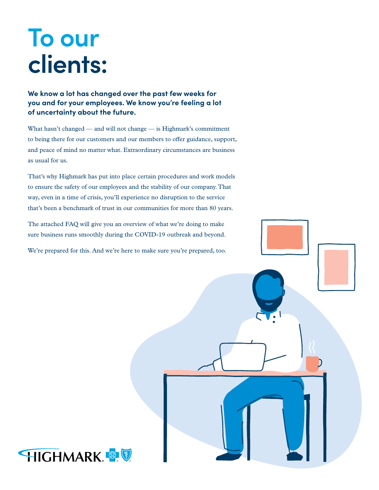# **To our clients:**

**We know a lot has changed over the past few weeks for you and for your employees. We know you're feeling a lot of uncertainty about the future.**

What hasn't changed — and will not change — is Highmark's commitment to being there for our customers and our members to offer guidance, support, and peace of mind no matter what. Extraordinary circumstances are business as usual for us.

That's why Highmark has put into place certain procedures and work models to ensure the safety of our employees and the stability of our company. That way, even in a time of crisis, you'll experience no disruption to the service that's been a benchmark of trust in our communities for more than 80 years.

The attached FAQ will give you an overview of what we're doing to make sure business runs smoothly during the COVID-19 outbreak and beyond.

We're prepared for this. And we're here to make sure you're prepared, too.

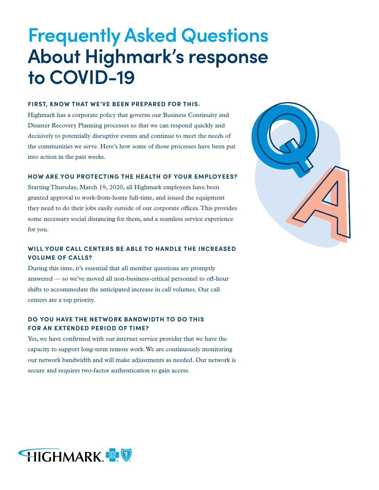# **Frequently Asked Questions About Highmark's response to COVID-19**

#### **FIRST, KNOW THAT WE'VE BEEN PREPARED FOR THIS.**

Highmark has a corporate policy that governs our Business Continuity and Disaster Recovery Planning processes so that we can respond quickly and decisively to potentially disruptive events and continue to meet the needs of the communities we serve. Here's how some of those processes have been put into action in the past weeks.

#### **HOW ARE YOU PROTECTING THE HEALTH OF YOUR EMPLOYEES?**

Starting Thursday, March 19, 2020, all Highmark employees have been granted approval to work-from-home full-time, and issued the equipment they need to do their jobs easily outside of our corporate offices. This provides some necessary social distancing for them, and a seamless service experience for you.

### **WILL YOUR CALL CENTERS BE ABLE TO HANDLE THE INCREASED VOLUME OF CALLS?**

During this time, it's essential that all member questions are promptly answered — so we've moved all non-business-critical personnel to off-hour shifts to accommodate the anticipated increase in call volumes. Our call centers are a top priority.

### **DO YOU HAVE THE NETWORK BANDWIDTH TO DO THIS FOR AN EXTENDED PERIOD OF TIME?**

Yes, we have confirmed with our internet service provider that we have the capacity to support long-term remote work. We are continuously monitoring our network bandwidth and will make adjustments as needed. Our network is secure and requires two-factor authentication to gain access.